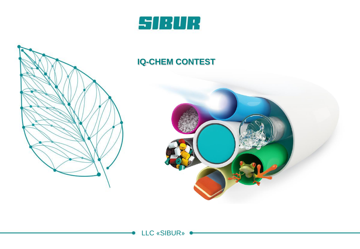



#### **IQ-CHEM CONTEST**

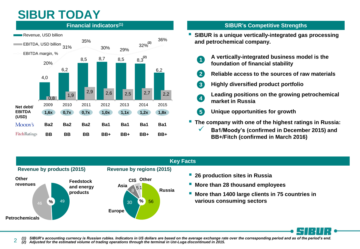# **SIBUR TODAY**



#### **SIBUR's Competitive Strengths**

- **SIBUR is a unique vertically-integrated gas processing and petrochemical company.**
	- **A vertically-integrated business model is the foundation of financial stability 1**
	- **Reliable access to the sources of raw materials 2**
	- **Highly diversified product portfolio 3**
		- **Leading positions on the growing petrochemical market in Russia**
	- **Unique opportunities for growth 5**
- **The company with one of the highest ratings in Russia:**
	- **Ba1/Moody's (confirmed in December 2015) and BB+/Fitch (confirmed in March 2016)**



**4**

*(1) SIBUR's accounting currency is Russian rubles. Indicators in US dollars are based on the average exchange rate over the corresponding period and as of the period's end. (2) Adjusted for the estimated volume of trading operations through the terminal in Ust-Luga discontinued in 2015.*  $\overline{\mathcal{L}}$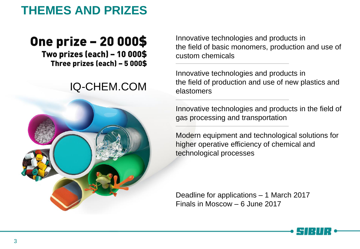

## **One prize - 20 000\$**

Two prizes (each) - 10 000\$ Three prizes (each) - 5 000\$

#### IQ-CHEM.COM



Innovative technologies and products in the field of basic monomers, production and use of custom chemicals

Innovative technologies and products in the field of production and use of new plastics and elastomers

Innovative technologies and products in the field of gas processing and transportation

Modern equipment and technological solutions for higher operative efficiency of chemical and technological processes

Deadline for applications – 1 March 2017 Finals in Moscow – 6 June 2017

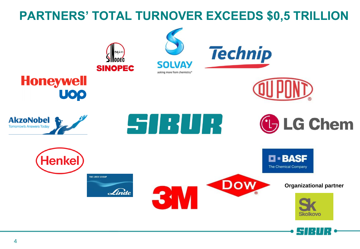### **PARTNERS' TOTAL TURNOVER EXCEEDS \$0,5 TRILLION**

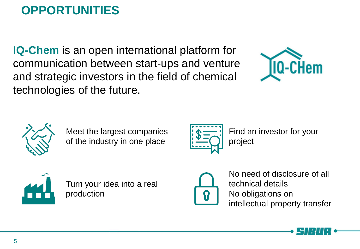# **OPPORTUNITIES**

**IQ-Chem** is an open international platform for communication between start-ups and venture and strategic investors in the field of chemical technologies of the future.





Meet the largest companies of the industry in one place



Find an investor for your project



Turn your idea into a real production



No need of disclosure of all technical details No obligations on intellectual property transfer

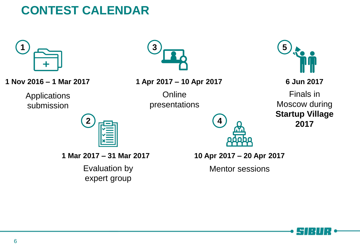## **CONTEST CALENDAR**



**1 Nov 2016 – 1 Mar 2017**

**Applications** submission



**1 Apr 2017 – 10 Apr 2017**

**Online** presentations



**6 Jun 2017**

Finals in Moscow during **Startup Village 2017**



**1 Mar 2017 – 31 Mar 2017**

Evaluation by expert group

**10 Apr 2017 – 20 Apr 2017**

**4**

Mentor sessions

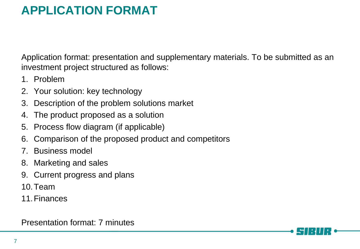## **APPLICATION FORMAT**

Application format: presentation and supplementary materials. To be submitted as an investment project structured as follows:

- 1. Problem
- 2. Your solution: key technology
- 3. Description of the problem solutions market
- 4. The product proposed as a solution
- 5. Process flow diagram (if applicable)
- 6. Comparison of the proposed product and competitors
- 7. Business model
- 8. Marketing and sales
- 9. Current progress and plans
- 10.Team
- 11.Finances

Presentation format: 7 minutes